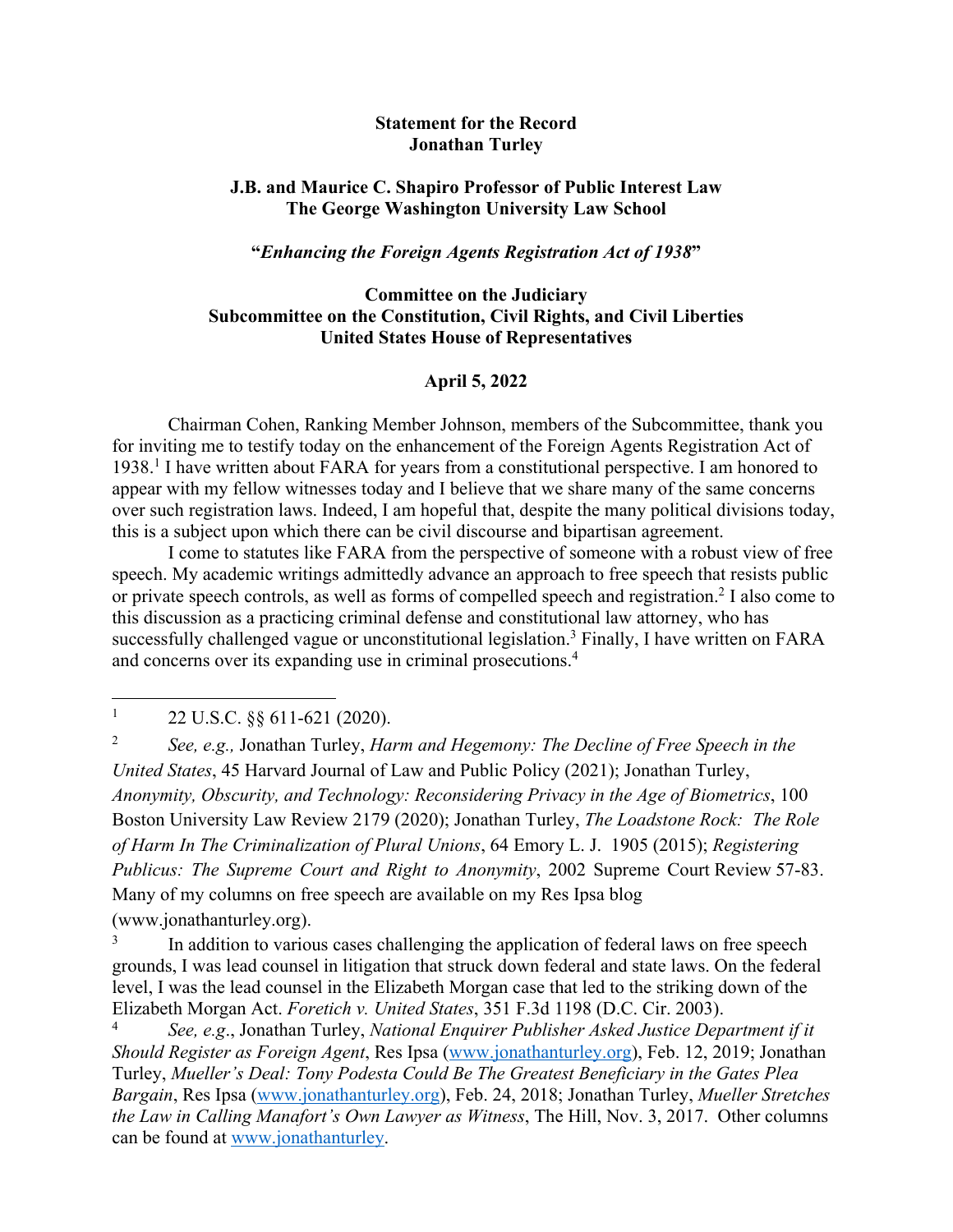### **Statement for the Record Jonathan Turley**

# **J.B. and Maurice C. Shapiro Professor of Public Interest Law The George Washington University Law School**

### **"***Enhancing the Foreign Agents Registration Act of 1938***"**

# **Committee on the Judiciary Subcommittee on the Constitution, Civil Rights, and Civil Liberties United States House of Representatives**

#### **April 5, 2022**

Chairman Cohen, Ranking Member Johnson, members of the Subcommittee, thank you for inviting me to testify today on the enhancement of the Foreign Agents Registration Act of 1938.1 I have written about FARA for years from a constitutional perspective. I am honored to appear with my fellow witnesses today and I believe that we share many of the same concerns over such registration laws. Indeed, I am hopeful that, despite the many political divisions today, this is a subject upon which there can be civil discourse and bipartisan agreement.

I come to statutes like FARA from the perspective of someone with a robust view of free speech. My academic writings admittedly advance an approach to free speech that resists public or private speech controls, as well as forms of compelled speech and registration.2 I also come to this discussion as a practicing criminal defense and constitutional law attorney, who has successfully challenged vague or unconstitutional legislation.<sup>3</sup> Finally, I have written on FARA and concerns over its expanding use in criminal prosecutions.4

2 *See, e.g.,* Jonathan Turley, *Harm and Hegemony: The Decline of Free Speech in the United States*, 45 Harvard Journal of Law and Public Policy (2021); Jonathan Turley, *Anonymity, Obscurity, and Technology: Reconsidering Privacy in the Age of Biometrics*, 100 Boston University Law Review 2179 (2020); Jonathan Turley, *The Loadstone Rock: The Role of Harm In The Criminalization of Plural Unions*, 64 Emory L. J. 1905 (2015); *Registering Publicus: The Supreme Court and Right to Anonymity*, 2002 Supreme Court Review 57-83. Many of my columns on free speech are available on my Res Ipsa blog (www.jonathanturley.org).

In addition to various cases challenging the application of federal laws on free speech grounds, I was lead counsel in litigation that struck down federal and state laws. On the federal level, I was the lead counsel in the Elizabeth Morgan case that led to the striking down of the Elizabeth Morgan Act. *Foretich v. United States*, 351 F.3d 1198 (D.C. Cir. 2003).

<sup>4</sup> *See, e.g*., Jonathan Turley, *National Enquirer Publisher Asked Justice Department if it Should Register as Foreign Agent*, Res Ipsa (www.jonathanturley.org), Feb. 12, 2019; Jonathan Turley, *Mueller's Deal: Tony Podesta Could Be The Greatest Beneficiary in the Gates Plea Bargain*, Res Ipsa (www.jonathanturley.org), Feb. 24, 2018; Jonathan Turley, *Mueller Stretches the Law in Calling Manafort's Own Lawyer as Witness*, The Hill, Nov. 3, 2017. Other columns can be found at www.jonathanturley.

 $1$  22 U.S.C.  $\&$  611-621 (2020).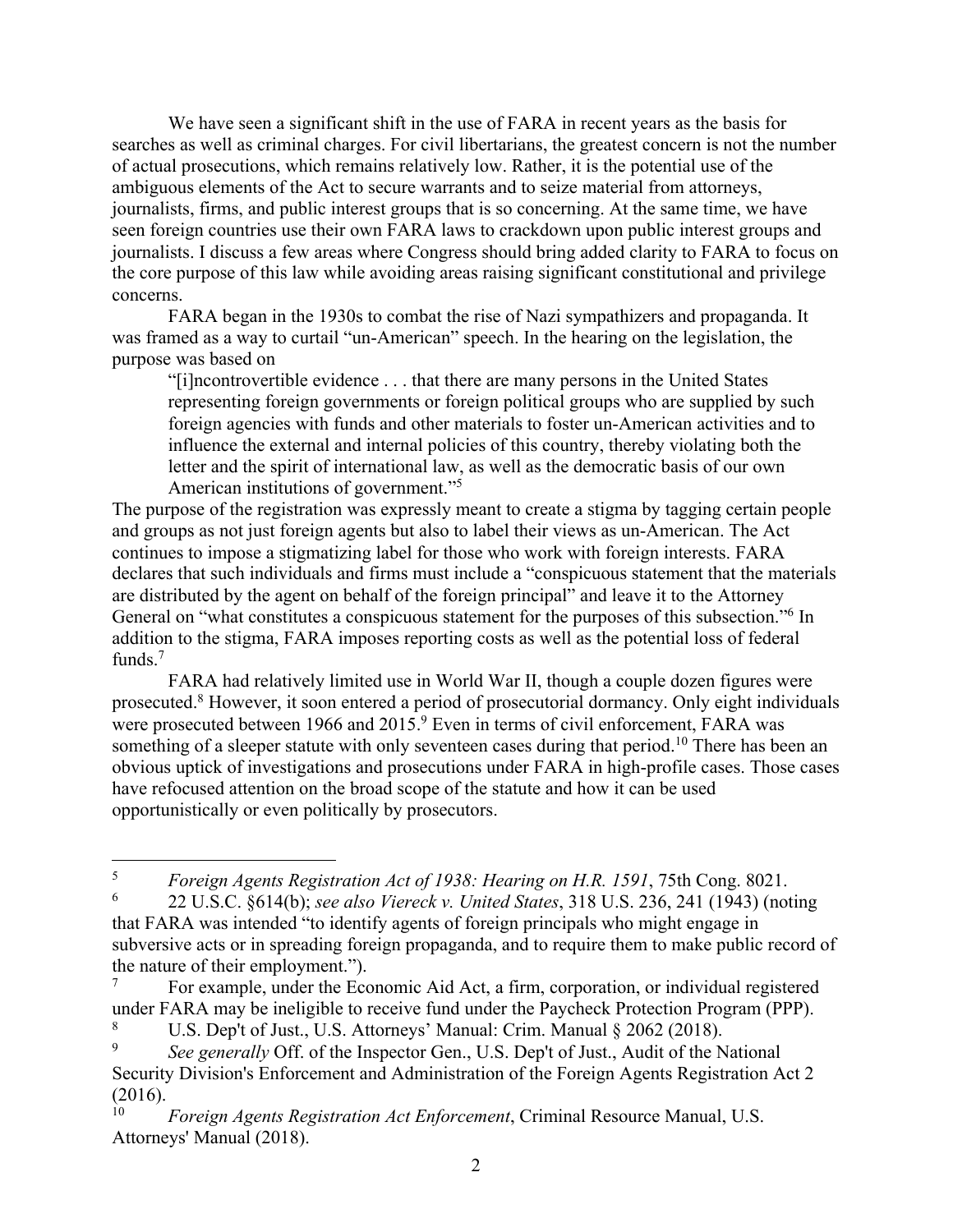We have seen a significant shift in the use of FARA in recent years as the basis for searches as well as criminal charges. For civil libertarians, the greatest concern is not the number of actual prosecutions, which remains relatively low. Rather, it is the potential use of the ambiguous elements of the Act to secure warrants and to seize material from attorneys, journalists, firms, and public interest groups that is so concerning. At the same time, we have seen foreign countries use their own FARA laws to crackdown upon public interest groups and journalists. I discuss a few areas where Congress should bring added clarity to FARA to focus on the core purpose of this law while avoiding areas raising significant constitutional and privilege concerns.

FARA began in the 1930s to combat the rise of Nazi sympathizers and propaganda. It was framed as a way to curtail "un-American" speech. In the hearing on the legislation, the purpose was based on

"[i]ncontrovertible evidence . . . that there are many persons in the United States representing foreign governments or foreign political groups who are supplied by such foreign agencies with funds and other materials to foster un-American activities and to influence the external and internal policies of this country, thereby violating both the letter and the spirit of international law, as well as the democratic basis of our own American institutions of government."5

The purpose of the registration was expressly meant to create a stigma by tagging certain people and groups as not just foreign agents but also to label their views as un-American. The Act continues to impose a stigmatizing label for those who work with foreign interests. FARA declares that such individuals and firms must include a "conspicuous statement that the materials are distributed by the agent on behalf of the foreign principal" and leave it to the Attorney General on "what constitutes a conspicuous statement for the purposes of this subsection."6 In addition to the stigma, FARA imposes reporting costs as well as the potential loss of federal funds.7

FARA had relatively limited use in World War II, though a couple dozen figures were prosecuted.8 However, it soon entered a period of prosecutorial dormancy. Only eight individuals were prosecuted between 1966 and  $2015.9$  Even in terms of civil enforcement, FARA was something of a sleeper statute with only seventeen cases during that period.<sup>10</sup> There has been an obvious uptick of investigations and prosecutions under FARA in high-profile cases. Those cases have refocused attention on the broad scope of the statute and how it can be used opportunistically or even politically by prosecutors.

<sup>5</sup> *Foreign Agents Registration Act of 1938: Hearing on H.R. 1591*, 75th Cong. 8021.

<sup>6</sup> 22 U.S.C. §614(b); *see also Viereck v. United States*, 318 U.S. 236, 241 (1943) (noting that FARA was intended "to identify agents of foreign principals who might engage in subversive acts or in spreading foreign propaganda, and to require them to make public record of the nature of their employment.").

<sup>7</sup> For example, under the Economic Aid Act, a firm, corporation, or individual registered under FARA may be ineligible to receive fund under the Paycheck Protection Program (PPP).

U.S. Dep't of Just., U.S. Attorneys' Manual: Crim. Manual § 2062 (2018).

See generally Off. of the Inspector Gen., U.S. Dep't of Just., Audit of the National Security Division's Enforcement and Administration of the Foreign Agents Registration Act 2  $(2016).$ 

<sup>10</sup> *Foreign Agents Registration Act Enforcement*, Criminal Resource Manual, U.S. Attorneys' Manual (2018).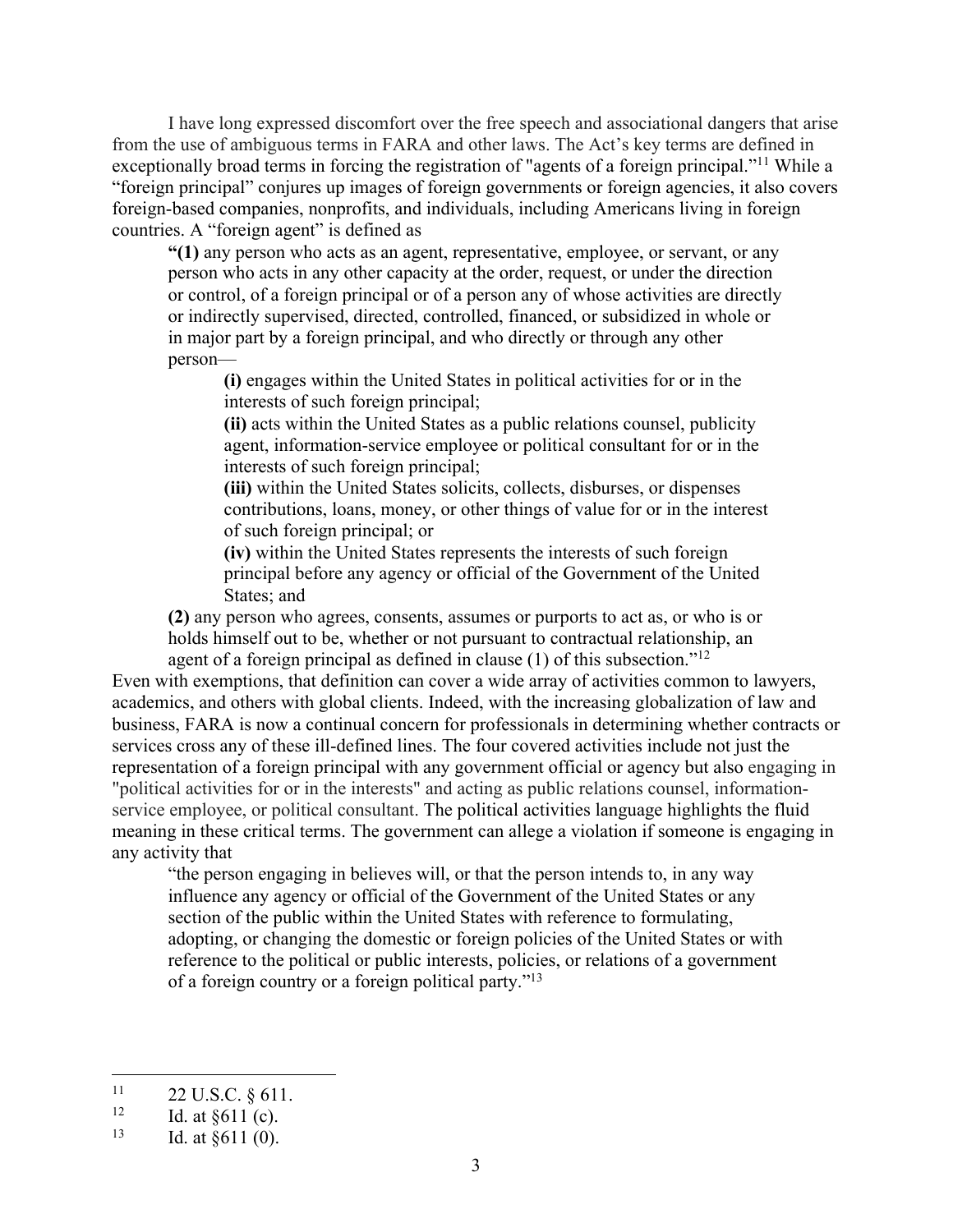I have long expressed discomfort over the free speech and associational dangers that arise from the use of ambiguous terms in FARA and other laws. The Act's key terms are defined in exceptionally broad terms in forcing the registration of "agents of a foreign principal."11 While a "foreign principal" conjures up images of foreign governments or foreign agencies, it also covers foreign-based companies, nonprofits, and individuals, including Americans living in foreign countries. A "foreign agent" is defined as

**"(1)** any person who acts as an agent, representative, employee, or servant, or any person who acts in any other capacity at the order, request, or under the direction or control, of a foreign principal or of a person any of whose activities are directly or indirectly supervised, directed, controlled, financed, or subsidized in whole or in major part by a foreign principal, and who directly or through any other person—

**(i)** engages within the United States in political activities for or in the interests of such foreign principal;

**(ii)** acts within the United States as a public relations counsel, publicity agent, information-service employee or political consultant for or in the interests of such foreign principal;

**(iii)** within the United States solicits, collects, disburses, or dispenses contributions, loans, money, or other things of value for or in the interest of such foreign principal; or

**(iv)** within the United States represents the interests of such foreign principal before any agency or official of the Government of the United States; and

**(2)** any person who agrees, consents, assumes or purports to act as, or who is or holds himself out to be, whether or not pursuant to contractual relationship, an agent of a foreign principal as defined in clause  $(1)$  of this subsection."<sup>12</sup>

Even with exemptions, that definition can cover a wide array of activities common to lawyers, academics, and others with global clients. Indeed, with the increasing globalization of law and business, FARA is now a continual concern for professionals in determining whether contracts or services cross any of these ill-defined lines. The four covered activities include not just the representation of a foreign principal with any government official or agency but also engaging in "political activities for or in the interests" and acting as public relations counsel, informationservice employee, or political consultant. The political activities language highlights the fluid meaning in these critical terms. The government can allege a violation if someone is engaging in any activity that

"the person engaging in believes will, or that the person intends to, in any way influence any agency or official of the Government of the United States or any section of the public within the United States with reference to formulating, adopting, or changing the domestic or foreign policies of the United States or with reference to the political or public interests, policies, or relations of a government of a foreign country or a foreign political party."13

<sup>&</sup>lt;sup>11</sup> 22 U.S.C.  $\S 611$ .<br><sup>12</sup> 14 at \$611.(a)

<sup>&</sup>lt;sup>12</sup> Id. at  $\S611$  (c).<br><sup>13</sup> Id. at  $\S611$  (0).

Id. at  $§611(0)$ .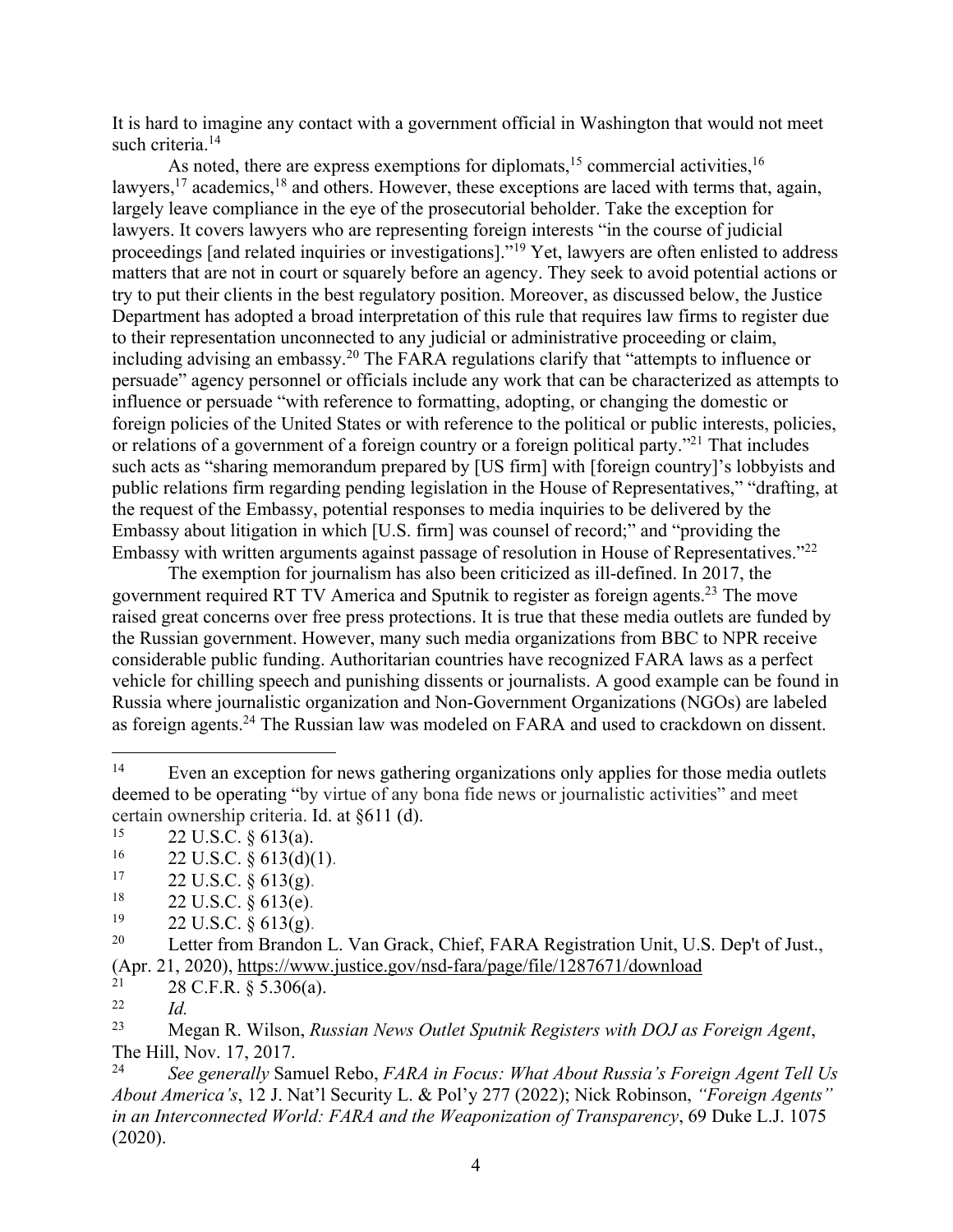It is hard to imagine any contact with a government official in Washington that would not meet such criteria.<sup>14</sup>

As noted, there are express exemptions for diplomats,<sup>15</sup> commercial activities,<sup>16</sup> lawyers,  $17$  academics,  $18$  and others. However, these exceptions are laced with terms that, again, largely leave compliance in the eye of the prosecutorial beholder. Take the exception for lawyers. It covers lawyers who are representing foreign interests "in the course of judicial proceedings [and related inquiries or investigations]."19 Yet, lawyers are often enlisted to address matters that are not in court or squarely before an agency. They seek to avoid potential actions or try to put their clients in the best regulatory position. Moreover, as discussed below, the Justice Department has adopted a broad interpretation of this rule that requires law firms to register due to their representation unconnected to any judicial or administrative proceeding or claim, including advising an embassy.<sup>20</sup> The FARA regulations clarify that "attempts to influence or persuade" agency personnel or officials include any work that can be characterized as attempts to influence or persuade "with reference to formatting, adopting, or changing the domestic or foreign policies of the United States or with reference to the political or public interests, policies, or relations of a government of a foreign country or a foreign political party."21 That includes such acts as "sharing memorandum prepared by [US firm] with [foreign country]'s lobbyists and public relations firm regarding pending legislation in the House of Representatives," "drafting, at the request of the Embassy, potential responses to media inquiries to be delivered by the Embassy about litigation in which [U.S. firm] was counsel of record;" and "providing the Embassy with written arguments against passage of resolution in House of Representatives."22

The exemption for journalism has also been criticized as ill-defined. In 2017, the government required RT TV America and Sputnik to register as foreign agents.<sup>23</sup> The move raised great concerns over free press protections. It is true that these media outlets are funded by the Russian government. However, many such media organizations from BBC to NPR receive considerable public funding. Authoritarian countries have recognized FARA laws as a perfect vehicle for chilling speech and punishing dissents or journalists. A good example can be found in Russia where journalistic organization and Non-Government Organizations (NGOs) are labeled as foreign agents.24 The Russian law was modeled on FARA and used to crackdown on dissent.

28 C.F.R. § 5.306(a).

 $\frac{22}{23}$  *Id.* 

<sup>&</sup>lt;sup>14</sup> Even an exception for news gathering organizations only applies for those media outlets deemed to be operating "by virtue of any bona fide news or journalistic activities" and meet certain ownership criteria. Id. at §611 (d).

<sup>&</sup>lt;sup>15</sup> 22 U.S.C. § 613(a).<br><sup>16</sup> 22 U.S.C. § 613(d)(

<sup>&</sup>lt;sup>16</sup> 22 U.S.C. § 613(d)(1).<br><sup>17</sup> 22 U.S.C. § 613(g)

<sup>&</sup>lt;sup>17</sup> 22 U.S.C. § 613(g).<br><sup>18</sup> 22 U.S.C. § 613(g).

<sup>&</sup>lt;sup>18</sup> 22 U.S.C.  $\S 613(e)$ .<br><sup>19</sup> 22 U.S.C.  $\S 613(e)$ .

 $^{19}$  22 U.S.C.  $\frac{6}{3}$  613(g).<br>
<sup>20</sup> Letter from Brandor

Letter from Brandon L. Van Grack, Chief, FARA Registration Unit, U.S. Dep't of Just., (Apr. 21, 2020), https://www.justice.gov/nsd-fara/page/file/1287671/download

<sup>23</sup> Megan R. Wilson, *Russian News Outlet Sputnik Registers with DOJ as Foreign Agent*, The Hill, Nov. 17, 2017.

<sup>24</sup> *See generally* Samuel Rebo, *FARA in Focus: What About Russia's Foreign Agent Tell Us About America's*, 12 J. Nat'l Security L. & Pol'y 277 (2022); Nick Robinson, *"Foreign Agents" in an Interconnected World: FARA and the Weaponization of Transparency*, 69 Duke L.J. 1075 (2020).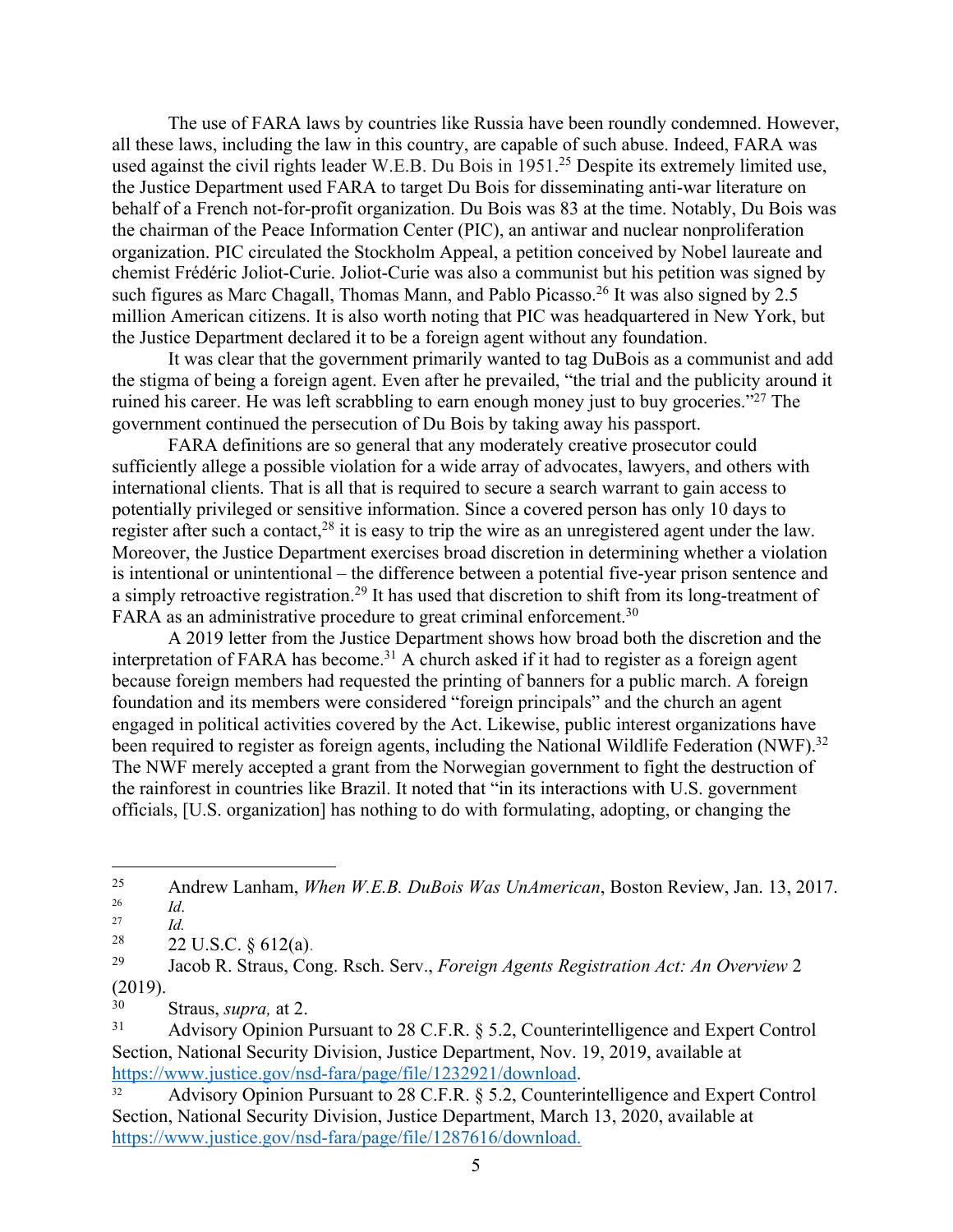The use of FARA laws by countries like Russia have been roundly condemned. However, all these laws, including the law in this country, are capable of such abuse. Indeed, FARA was used against the civil rights leader W.E.B. Du Bois in 1951.<sup>25</sup> Despite its extremely limited use, the Justice Department used FARA to target Du Bois for disseminating anti-war literature on behalf of a French not-for-profit organization. Du Bois was 83 at the time. Notably, Du Bois was the chairman of the Peace Information Center (PIC), an antiwar and nuclear nonproliferation organization. PIC circulated the Stockholm Appeal, a petition conceived by Nobel laureate and chemist Frédéric Joliot-Curie. Joliot-Curie was also a communist but his petition was signed by such figures as Marc Chagall, Thomas Mann, and Pablo Picasso.<sup>26</sup> It was also signed by 2.5 million American citizens. It is also worth noting that PIC was headquartered in New York, but the Justice Department declared it to be a foreign agent without any foundation.

It was clear that the government primarily wanted to tag DuBois as a communist and add the stigma of being a foreign agent. Even after he prevailed, "the trial and the publicity around it ruined his career. He was left scrabbling to earn enough money just to buy groceries."<sup>27</sup> The government continued the persecution of Du Bois by taking away his passport.

FARA definitions are so general that any moderately creative prosecutor could sufficiently allege a possible violation for a wide array of advocates, lawyers, and others with international clients. That is all that is required to secure a search warrant to gain access to potentially privileged or sensitive information. Since a covered person has only 10 days to register after such a contact, $28$  it is easy to trip the wire as an unregistered agent under the law. Moreover, the Justice Department exercises broad discretion in determining whether a violation is intentional or unintentional – the difference between a potential five-year prison sentence and a simply retroactive registration.29 It has used that discretion to shift from its long-treatment of FARA as an administrative procedure to great criminal enforcement.<sup>30</sup>

A 2019 letter from the Justice Department shows how broad both the discretion and the interpretation of FARA has become.<sup>31</sup> A church asked if it had to register as a foreign agent because foreign members had requested the printing of banners for a public march. A foreign foundation and its members were considered "foreign principals" and the church an agent engaged in political activities covered by the Act. Likewise, public interest organizations have been required to register as foreign agents, including the National Wildlife Federation (NWF).<sup>32</sup> The NWF merely accepted a grant from the Norwegian government to fight the destruction of the rainforest in countries like Brazil. It noted that "in its interactions with U.S. government officials, [U.S. organization] has nothing to do with formulating, adopting, or changing the

<sup>&</sup>lt;sup>25</sup> Andrew Lanham, *When W.E.B. DuBois Was UnAmerican*, Boston Review, Jan. 13, 2017.  $\frac{26}{27}$  *Id.* 

 $\frac{27}{28}$  *Id.* 

<sup>22</sup> U.S.C.  $\S$  612(a).

<sup>29</sup> Jacob R. Straus, Cong. Rsch. Serv., *Foreign Agents Registration Act: An Overview* 2 (2019).

<sup>30</sup> Straus, *supra,* at 2.

Advisory Opinion Pursuant to 28 C.F.R. § 5.2, Counterintelligence and Expert Control Section, National Security Division, Justice Department, Nov. 19, 2019, available at https://www.justice.gov/nsd-fara/page/file/1232921/download.<br><sup>32</sup> Advisory Opinion Pursuant to 28 C.F.R. § 5.2, Counterintelligence and Expert Control

Section, National Security Division, Justice Department, March 13, 2020, available at https://www.justice.gov/nsd-fara/page/file/1287616/download.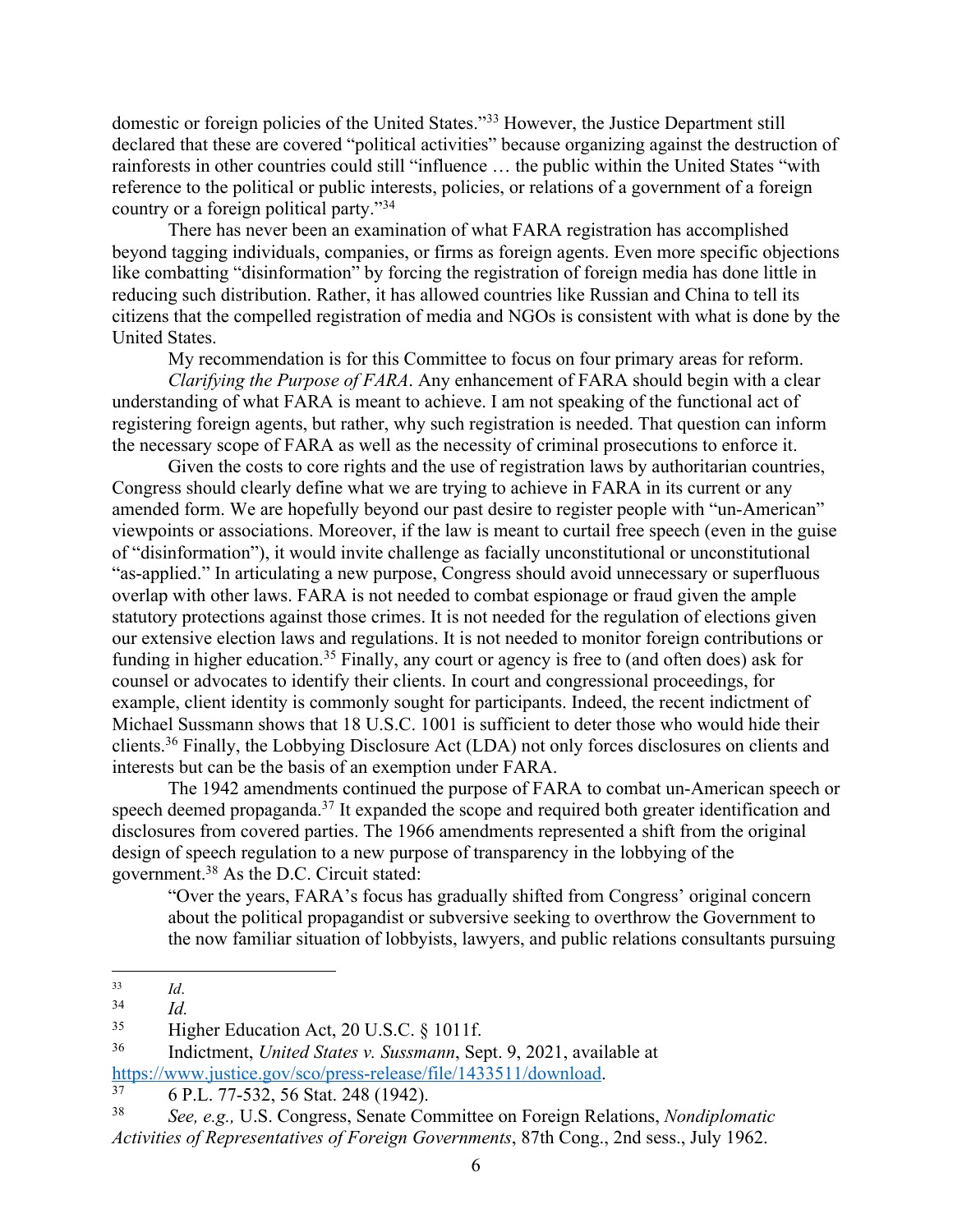domestic or foreign policies of the United States."33 However, the Justice Department still declared that these are covered "political activities" because organizing against the destruction of rainforests in other countries could still "influence … the public within the United States "with reference to the political or public interests, policies, or relations of a government of a foreign country or a foreign political party."34

There has never been an examination of what FARA registration has accomplished beyond tagging individuals, companies, or firms as foreign agents. Even more specific objections like combatting "disinformation" by forcing the registration of foreign media has done little in reducing such distribution. Rather, it has allowed countries like Russian and China to tell its citizens that the compelled registration of media and NGOs is consistent with what is done by the United States.

My recommendation is for this Committee to focus on four primary areas for reform.

*Clarifying the Purpose of FARA*. Any enhancement of FARA should begin with a clear understanding of what FARA is meant to achieve. I am not speaking of the functional act of registering foreign agents, but rather, why such registration is needed. That question can inform the necessary scope of FARA as well as the necessity of criminal prosecutions to enforce it.

Given the costs to core rights and the use of registration laws by authoritarian countries, Congress should clearly define what we are trying to achieve in FARA in its current or any amended form. We are hopefully beyond our past desire to register people with "un-American" viewpoints or associations. Moreover, if the law is meant to curtail free speech (even in the guise of "disinformation"), it would invite challenge as facially unconstitutional or unconstitutional "as-applied." In articulating a new purpose, Congress should avoid unnecessary or superfluous overlap with other laws. FARA is not needed to combat espionage or fraud given the ample statutory protections against those crimes. It is not needed for the regulation of elections given our extensive election laws and regulations. It is not needed to monitor foreign contributions or funding in higher education.<sup>35</sup> Finally, any court or agency is free to (and often does) ask for counsel or advocates to identify their clients. In court and congressional proceedings, for example, client identity is commonly sought for participants. Indeed, the recent indictment of Michael Sussmann shows that 18 U.S.C. 1001 is sufficient to deter those who would hide their clients.36 Finally, the Lobbying Disclosure Act (LDA) not only forces disclosures on clients and interests but can be the basis of an exemption under FARA.

The 1942 amendments continued the purpose of FARA to combat un-American speech or speech deemed propaganda.<sup>37</sup> It expanded the scope and required both greater identification and disclosures from covered parties. The 1966 amendments represented a shift from the original design of speech regulation to a new purpose of transparency in the lobbying of the government.38 As the D.C. Circuit stated:

"Over the years, FARA's focus has gradually shifted from Congress' original concern about the political propagandist or subversive seeking to overthrow the Government to the now familiar situation of lobbyists, lawyers, and public relations consultants pursuing

<sup>33</sup> *Id*.

 $\frac{34}{35}$  *Id.* 

Higher Education Act, 20 U.S.C. § 1011f.

<sup>36</sup> Indictment, *United States v. Sussmann*, Sept. 9, 2021, available at https://www.justice.gov/sco/press-release/file/1433511/download.<br>
<sup>37</sup> 6 P.L. 77-532, 56 Stat. 248 (1942).<br>
<sup>38</sup> See e.g. J.J.S. Congress, Senate Committee on Fereign Rel

<sup>38</sup> *See, e.g.,* U.S. Congress, Senate Committee on Foreign Relations, *Nondiplomatic Activities of Representatives of Foreign Governments*, 87th Cong., 2nd sess., July 1962.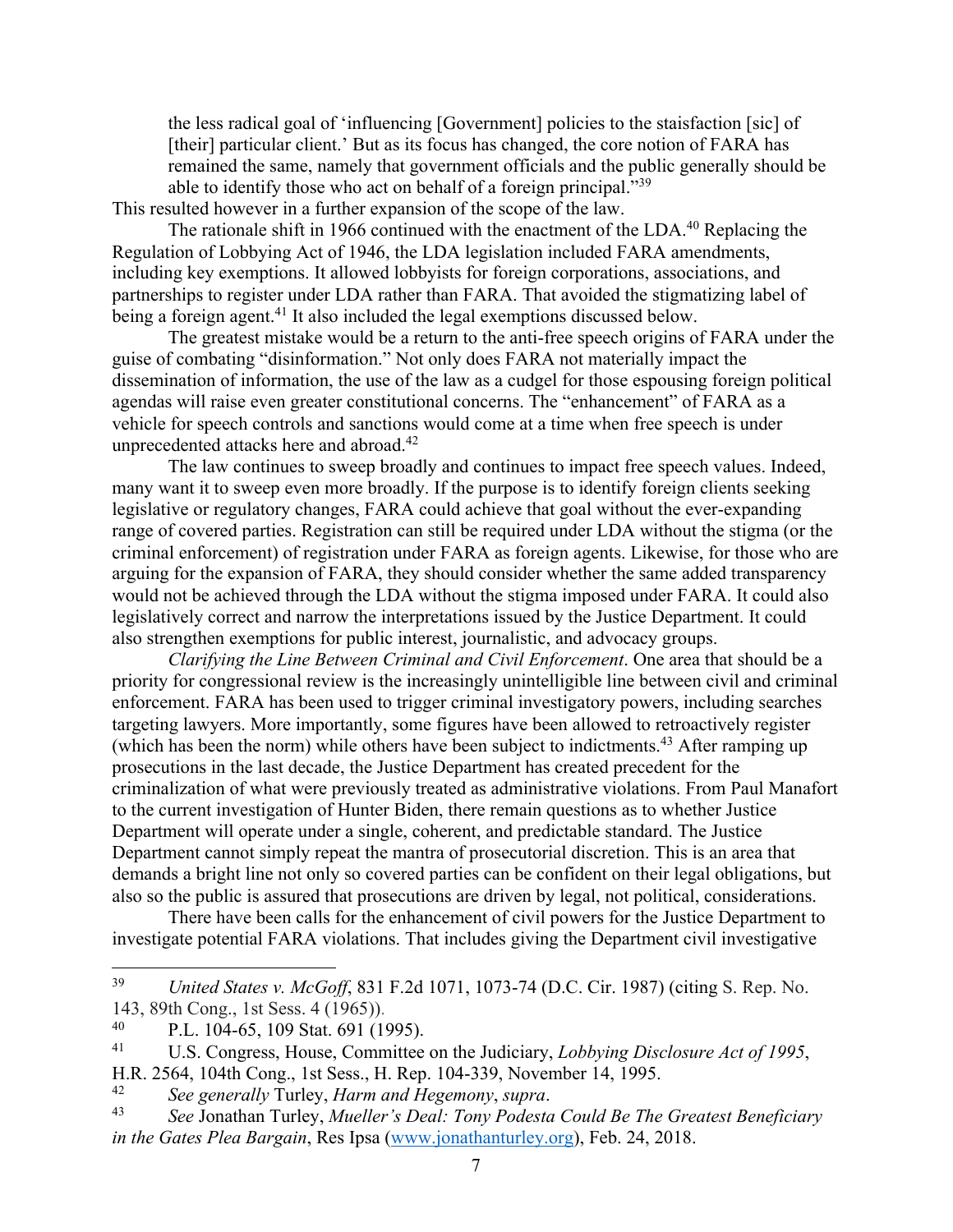the less radical goal of 'influencing [Government] policies to the staisfaction [sic] of [their] particular client.' But as its focus has changed, the core notion of FARA has remained the same, namely that government officials and the public generally should be able to identify those who act on behalf of a foreign principal."<sup>39</sup>

This resulted however in a further expansion of the scope of the law.

The rationale shift in 1966 continued with the enactment of the LDA.<sup>40</sup> Replacing the Regulation of Lobbying Act of 1946, the LDA legislation included FARA amendments, including key exemptions. It allowed lobbyists for foreign corporations, associations, and partnerships to register under LDA rather than FARA. That avoided the stigmatizing label of being a foreign agent.<sup>41</sup> It also included the legal exemptions discussed below.

The greatest mistake would be a return to the anti-free speech origins of FARA under the guise of combating "disinformation." Not only does FARA not materially impact the dissemination of information, the use of the law as a cudgel for those espousing foreign political agendas will raise even greater constitutional concerns. The "enhancement" of FARA as a vehicle for speech controls and sanctions would come at a time when free speech is under unprecedented attacks here and abroad.42

The law continues to sweep broadly and continues to impact free speech values. Indeed, many want it to sweep even more broadly. If the purpose is to identify foreign clients seeking legislative or regulatory changes, FARA could achieve that goal without the ever-expanding range of covered parties. Registration can still be required under LDA without the stigma (or the criminal enforcement) of registration under FARA as foreign agents. Likewise, for those who are arguing for the expansion of FARA, they should consider whether the same added transparency would not be achieved through the LDA without the stigma imposed under FARA. It could also legislatively correct and narrow the interpretations issued by the Justice Department. It could also strengthen exemptions for public interest, journalistic, and advocacy groups.

*Clarifying the Line Between Criminal and Civil Enforcement*. One area that should be a priority for congressional review is the increasingly unintelligible line between civil and criminal enforcement. FARA has been used to trigger criminal investigatory powers, including searches targeting lawyers. More importantly, some figures have been allowed to retroactively register (which has been the norm) while others have been subject to indictments.<sup>43</sup> After ramping up prosecutions in the last decade, the Justice Department has created precedent for the criminalization of what were previously treated as administrative violations. From Paul Manafort to the current investigation of Hunter Biden, there remain questions as to whether Justice Department will operate under a single, coherent, and predictable standard. The Justice Department cannot simply repeat the mantra of prosecutorial discretion. This is an area that demands a bright line not only so covered parties can be confident on their legal obligations, but also so the public is assured that prosecutions are driven by legal, not political, considerations.

There have been calls for the enhancement of civil powers for the Justice Department to investigate potential FARA violations. That includes giving the Department civil investigative

<sup>39</sup> *United States v. McGoff*, 831 F.2d 1071, 1073-74 (D.C. Cir. 1987) (citing S. Rep. No. 143, 89th Cong., 1st Sess. 4 (1965)).

<sup>40</sup> P.L. 104-65, 109 Stat. 691 (1995).

<sup>41</sup> U.S. Congress, House, Committee on the Judiciary, *Lobbying Disclosure Act of 1995*, H.R. 2564, 104th Cong., 1st Sess., H. Rep. 104-339, November 14, 1995.

<sup>42</sup> *See generally* Turley, *Harm and Hegemony*, *supra*. 43 *See* Jonathan Turley, *Mueller's Deal: Tony Podesta Could Be The Greatest Beneficiary in the Gates Plea Bargain*, Res Ipsa (www.jonathanturley.org), Feb. 24, 2018.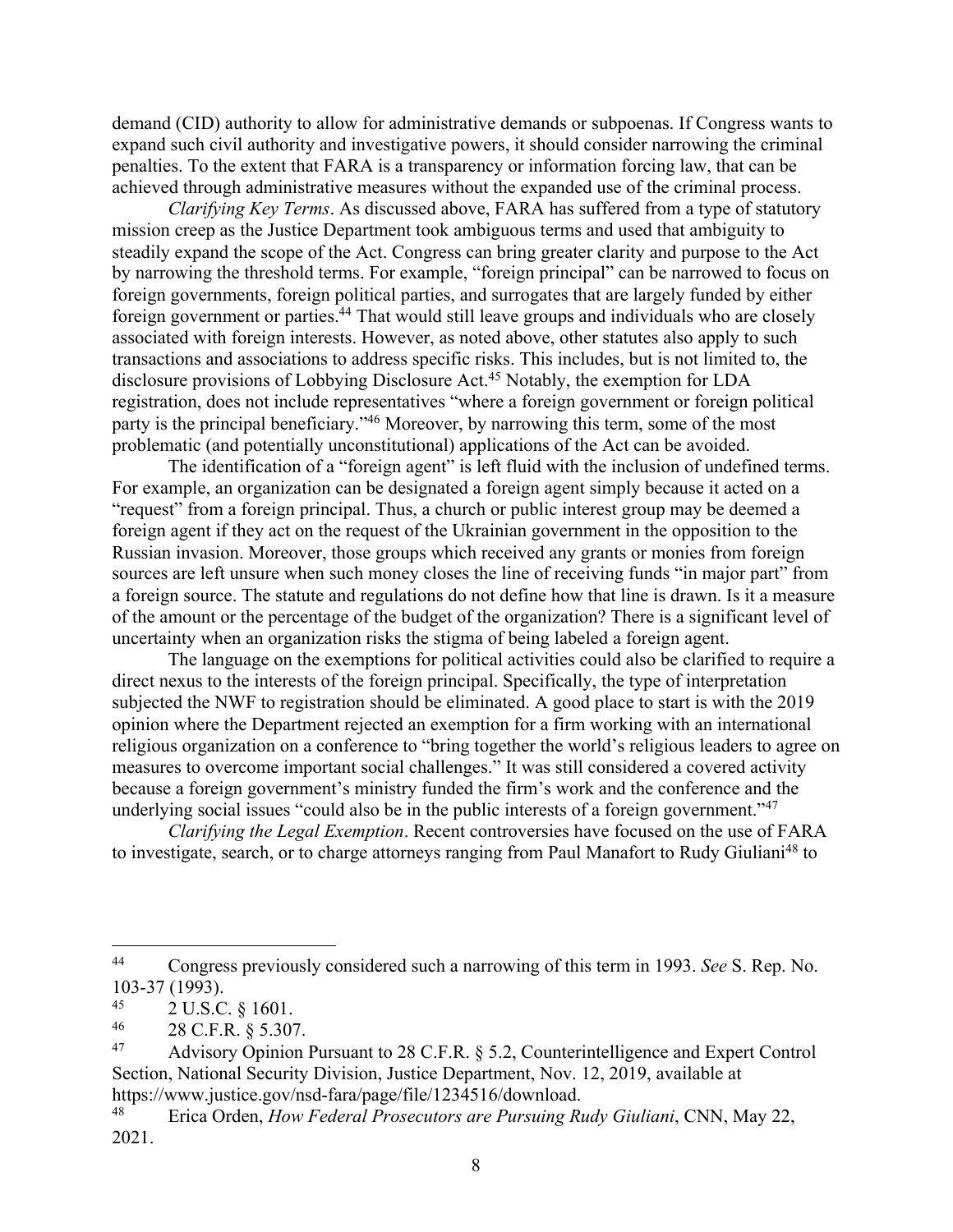demand (CID) authority to allow for administrative demands or subpoenas. If Congress wants to expand such civil authority and investigative powers, it should consider narrowing the criminal penalties. To the extent that FARA is a transparency or information forcing law, that can be achieved through administrative measures without the expanded use of the criminal process.

*Clarifying Key Terms*. As discussed above, FARA has suffered from a type of statutory mission creep as the Justice Department took ambiguous terms and used that ambiguity to steadily expand the scope of the Act. Congress can bring greater clarity and purpose to the Act by narrowing the threshold terms. For example, "foreign principal" can be narrowed to focus on foreign governments, foreign political parties, and surrogates that are largely funded by either foreign government or parties.<sup>44</sup> That would still leave groups and individuals who are closely associated with foreign interests. However, as noted above, other statutes also apply to such transactions and associations to address specific risks. This includes, but is not limited to, the disclosure provisions of Lobbying Disclosure Act.45 Notably, the exemption for LDA registration, does not include representatives "where a foreign government or foreign political party is the principal beneficiary."46 Moreover, by narrowing this term, some of the most problematic (and potentially unconstitutional) applications of the Act can be avoided.

The identification of a "foreign agent" is left fluid with the inclusion of undefined terms. For example, an organization can be designated a foreign agent simply because it acted on a "request" from a foreign principal. Thus, a church or public interest group may be deemed a foreign agent if they act on the request of the Ukrainian government in the opposition to the Russian invasion. Moreover, those groups which received any grants or monies from foreign sources are left unsure when such money closes the line of receiving funds "in major part" from a foreign source. The statute and regulations do not define how that line is drawn. Is it a measure of the amount or the percentage of the budget of the organization? There is a significant level of uncertainty when an organization risks the stigma of being labeled a foreign agent.

The language on the exemptions for political activities could also be clarified to require a direct nexus to the interests of the foreign principal. Specifically, the type of interpretation subjected the NWF to registration should be eliminated. A good place to start is with the 2019 opinion where the Department rejected an exemption for a firm working with an international religious organization on a conference to "bring together the world's religious leaders to agree on measures to overcome important social challenges." It was still considered a covered activity because a foreign government's ministry funded the firm's work and the conference and the underlying social issues "could also be in the public interests of a foreign government."<sup>47</sup>

*Clarifying the Legal Exemption*. Recent controversies have focused on the use of FARA to investigate, search, or to charge attorneys ranging from Paul Manafort to Rudy Giuliani<sup>48</sup> to

<sup>44</sup> Congress previously considered such a narrowing of this term in 1993. *See* S. Rep. No. 103-37 (1993).

 $^{45}$  2 U.S.C. § 1601.

 $^{46}$  28 C.F.R. § 5.307.

Advisory Opinion Pursuant to 28 C.F.R. § 5.2, Counterintelligence and Expert Control Section, National Security Division, Justice Department, Nov. 12, 2019, available at https://www.justice.gov/nsd-fara/page/file/1234516/download.

<sup>48</sup> Erica Orden, *How Federal Prosecutors are Pursuing Rudy Giuliani*, CNN, May 22, 2021.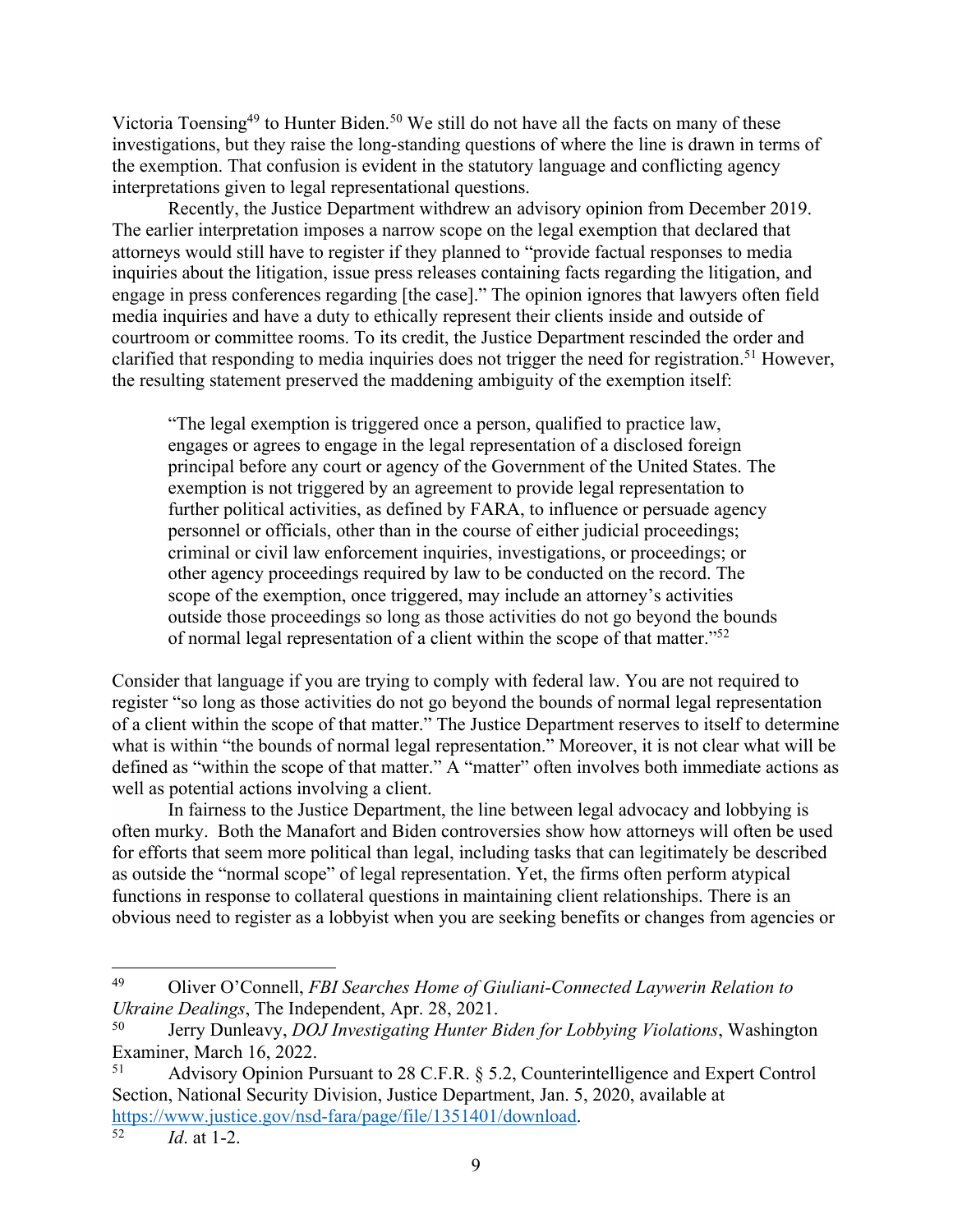Victoria Toensing<sup>49</sup> to Hunter Biden.<sup>50</sup> We still do not have all the facts on many of these investigations, but they raise the long-standing questions of where the line is drawn in terms of the exemption. That confusion is evident in the statutory language and conflicting agency interpretations given to legal representational questions.

Recently, the Justice Department withdrew an advisory opinion from December 2019. The earlier interpretation imposes a narrow scope on the legal exemption that declared that attorneys would still have to register if they planned to "provide factual responses to media inquiries about the litigation, issue press releases containing facts regarding the litigation, and engage in press conferences regarding [the case]." The opinion ignores that lawyers often field media inquiries and have a duty to ethically represent their clients inside and outside of courtroom or committee rooms. To its credit, the Justice Department rescinded the order and clarified that responding to media inquiries does not trigger the need for registration.<sup>51</sup> However, the resulting statement preserved the maddening ambiguity of the exemption itself:

"The legal exemption is triggered once a person, qualified to practice law, engages or agrees to engage in the legal representation of a disclosed foreign principal before any court or agency of the Government of the United States. The exemption is not triggered by an agreement to provide legal representation to further political activities, as defined by FARA, to influence or persuade agency personnel or officials, other than in the course of either judicial proceedings; criminal or civil law enforcement inquiries, investigations, or proceedings; or other agency proceedings required by law to be conducted on the record. The scope of the exemption, once triggered, may include an attorney's activities outside those proceedings so long as those activities do not go beyond the bounds of normal legal representation of a client within the scope of that matter."52

Consider that language if you are trying to comply with federal law. You are not required to register "so long as those activities do not go beyond the bounds of normal legal representation of a client within the scope of that matter." The Justice Department reserves to itself to determine what is within "the bounds of normal legal representation." Moreover, it is not clear what will be defined as "within the scope of that matter." A "matter" often involves both immediate actions as well as potential actions involving a client.

In fairness to the Justice Department, the line between legal advocacy and lobbying is often murky. Both the Manafort and Biden controversies show how attorneys will often be used for efforts that seem more political than legal, including tasks that can legitimately be described as outside the "normal scope" of legal representation. Yet, the firms often perform atypical functions in response to collateral questions in maintaining client relationships. There is an obvious need to register as a lobbyist when you are seeking benefits or changes from agencies or

<sup>49</sup> Oliver O'Connell, *FBI Searches Home of Giuliani-Connected Laywerin Relation to Ukraine Dealings*, The Independent, Apr. 28, 2021.

<sup>50</sup> Jerry Dunleavy, *DOJ Investigating Hunter Biden for Lobbying Violations*, Washington Examiner, March 16, 2022.

<sup>51</sup> Advisory Opinion Pursuant to 28 C.F.R. § 5.2, Counterintelligence and Expert Control Section, National Security Division, Justice Department, Jan. 5, 2020, available at https://www.justice.gov/nsd-fara/page/file/1351401/download.<br>52 decisi 1.2

*Id.* at 1-2.